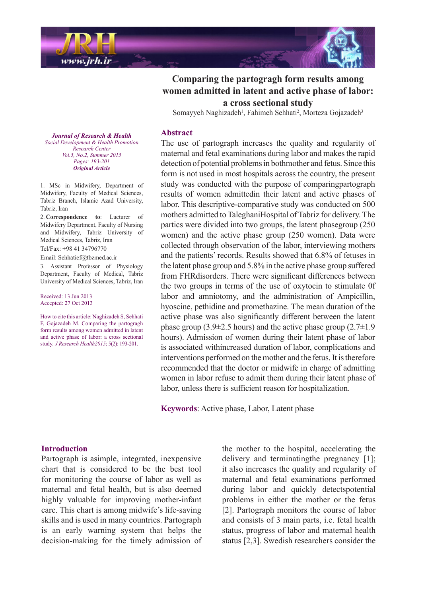

# **Comparing the partogragh form results among women admitted in latent and active phase of labor:** a cross sectional study

Somayyeh Naghizadeh<sup>1</sup>, Fahimeh Sehhati<sup>2</sup>, Morteza Gojazadeh<sup>3</sup>

#### **Abstract**

The use of partograph increases the quality and regularity of maternal and fetal examinations during labor and makes the rapid detection of potential problems in bothmother and fetus. Since this form is not used in most hospitals across the country, the present study was conducted with the purpose of comparingpartograph results of women admittedin their latent and active phases of labor. This descriptive-comparative study was conducted on 500 mothers admitted to TaleghaniHospital of Tabriz for delivery. The partics were divided into two groups, the latent phasegroup  $(250)$ women) and the active phase group  $(250 \text{ women})$ . Data were collected through observation of the labor, interviewing mothers and the patients' records. Results showed that 6.8% of fetuses in the latent phase group and  $5.8\%$  in the active phase group suffered from FHRdisorders. There were significant differences between the two groups in terms of the use of oxytocin to stimulate 0f labor and amniotomy, and the administration of Ampicillin, hyoscine, pethidine and promethazine. The mean duration of the active phase was also significantly different between the latent phase group (3.9 $\pm$ 2.5 hours) and the active phase group (2.7 $\pm$ 1.9 hours). Admission of women during their latent phase of labor is associated withincreased duration of labor, complications and interventions performed on the mother and the fetus. It is therefore recommended that the doctor or midwife in charge of admitting women in labor refuse to admit them during their latent phase of labor, unless there is sufficient reason for hospitalization.

Keywords: Active phase, Labor, Latent phase

**Journal of Research & Health**  *Promotion Health & Development Social Center Research Vol.5, No.2, Summer 2015* Pages: 193-201 *Article Original*

1. MSc in Midwifery, Department of Midwifery. Faculty of Medical Sciences, Tabriz Branch, Islamic Azad University, Tabriz, Iran

2. Correspondence to: Lucturer of Midwifery Department, Faculty of Nursing and Midwifery, Tabriz University of Medical Sciences, Tabriz, Iran Tel/Fax: +98 41 34796770

Email: Sehhatief@tbzmed.ac.ir

3. Assistant Professor of Physiology Department, Faculty of Medical, Tabriz University of Medical Sciences, Tabriz, Iran

Received: 13 Jun 2013 Accepted: 27 Oct 2013

How to cite this article: Naghizadeh S. Sehhati F, Gojazadeh M. Comparing the partogragh form results among women admitted in latent and active phase of labor: a cross sectional study. *J Research Health 2015*; 5(2): 193-201.

### **Introduction**

Partograph is asimple, integrated, inexpensive chart that is considered to be the best tool for monitoring the course of labor as well as maternal and fetal health, but is also deemed highly valuable for improving mother-infant care. This chart is among midwife's life-saving. skills and is used in many countries. Partograph is an early warning system that helps the decision-making for the timely admission of

the mother to the hospital, accelerating the delivery and terminating the pregnancy  $[1]$ ; it also increases the quality and regularity of maternal and fetal examinations performed during labor and quickly detectspotential problems in either the mother or the fetus  $[2]$ . Partograph monitors the course of labor and consists of 3 main parts, *i.e.* fetal health status, progress of labor and maternal health status  $[2,3]$ . Swedish researchers consider the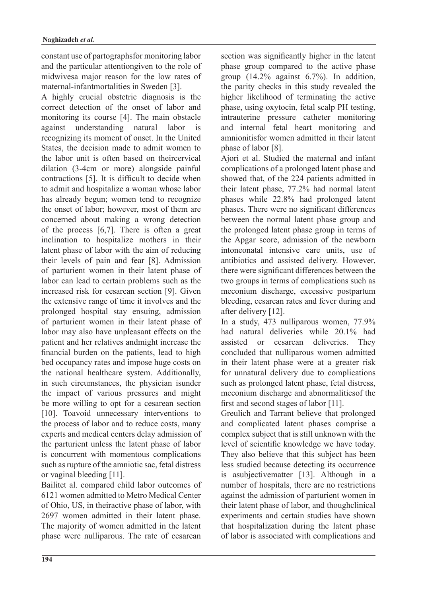constant use of partographsfor monitoring labor and the particular attentiongiven to the role of midwivesa major reason for the low rates of maternal-infantmortalities in Sweden [3].

A highly crucial obstetric diagnosis is the correct detection of the onset of labor and monitoring its course [4]. The main obstacle against understanding natural labor is recognizing its moment of onset. In the United States, the decision made to admit women to the labor unit is often based on theircervical dilation  $(3-4cm)$  or more) alongside painful contractions  $[5]$ . It is difficult to decide when to admit and hospitalize a woman whose labor has already begun; women tend to recognize the onset of labor; however, most of them are concerned about making a wrong detection of the process  $[6,7]$ . There is often a great inclination to hospitalize mothers in their latent phase of labor with the aim of reducing their levels of pain and fear [8]. Admission of parturient women in their latent phase of labor can lead to certain problems such as the increased risk for cesarean section [9]. Given the extensive range of time it involves and the prolonged hospital stay ensuing, admission of parturient women in their latent phase of labor may also have unpleasant effects on the patient and her relatives and patient increase the financial burden on the patients, lead to high bed occupancy rates and impose huge costs on the national healthcare system. Additionally, in such circumstances, the physician isunder the impact of various pressures and might be more willing to opt for a cesarean section [10]. Toavoid unnecessary interventions to the process of labor and to reduce costs, many experts and medical centers delay admission of the parturient unless the latent phase of labor is concurrent with momentous complications such as rupture of the amniotic sac, fetal distress or vaginal bleeding  $[11]$ .

Bailitet al. compared child labor outcomes of 6121 women admitted to Metro Medical Center of Ohio, US, in theiractive phase of labor, with 2697 women admitted in their latent phase. The majority of women admitted in the latent phase were nulliparous. The rate of cesarean section was significantly higher in the latent phase group compared to the active phase group  $(14.2\%$  against  $6.7\%$ ). In addition, the parity checks in this study revealed the higher likelihood of terminating the active phase, using oxytocin, fetal scalp PH testing, intrauterine pressure catheter monitoring and internal fetal heart monitoring and amnionitisfor women admitted in their latent phase of labor  $[8]$ .

Ajori et al. Studied the maternal and infant complications of a prolonged latent phase and showed that, of the 224 patients admitted in their latent phase, 77.2% had normal latent phases while 22.8% had prolonged latent phases. There were no significant differences between the normal latent phase group and the prolonged latent phase group in terms of the Apgar score, admission of the newborn intoneonatal intensive care units, use of antibiotics and assisted delivery. However, there were significant differences between the two groups in terms of complications such as meconium discharge, excessive postpartum bleeding, cesarean rates and fever during and after delivery [12].

In a study,  $473$  nulliparous women,  $77.9\%$ had natural deliveries while 20.1% had assisted or cesarean deliveries. They concluded that nulliparous women admitted in their latent phase were at a greater risk for unnatural delivery due to complications such as prolonged latent phase, fetal distress, meconium discharge and abnormalities of the first and second stages of labor  $[11]$ .

Greulich and Tarrant believe that prolonged and complicated latent phases comprise a complex subject that is still unknown with the level of scientific knowledge we have today. They also believe that this subject has been less studied because detecting its occurrence is a subjective matter  $[13]$ . Although in a number of hospitals, there are no restrictions against the admission of parturient women in their latent phase of labor, and thoughclinical experiments and certain studies have shown that hospitalization during the latent phase of labor is associated with complications and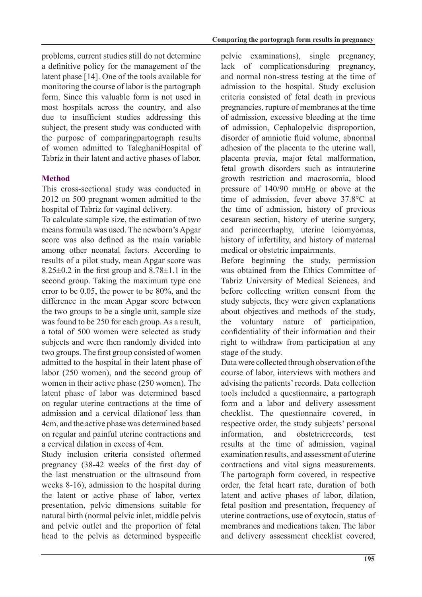problems, current studies still do not determine a definitive policy for the management of the latent phase [14]. One of the tools available for monitoring the course of labor is the partograph form. Since this valuable form is not used in most hospitals across the country and also due to insufficient studies addressing this subject, the present study was conducted with the purpose of comparingpartograph results of women admitted to TaleghaniHospital of Tabriz in their latent and active phases of labor.

# **Method**

This cross-sectional study was conducted in  $2012$  on 500 pregnant women admitted to the hospital of Tabriz for vaginal delivery.

To calculate sample size, the estimation of two means formula was used. The newborn's Apgar score was also defined as the main variable among other neonatal factors. According to results of a pilot study, mean Apgar score was  $8.25\pm0.2$  in the first group and  $8.78\pm1.1$  in the second group. Taking the maximum type one error to be  $0.05$ , the power to be  $80\%$ , and the difference in the mean Apgar score between the two groups to be a single unit, sample size was found to be 250 for each group. As a result, a total of 500 women were selected as study subjects and were then randomly divided into two groups. The first group consisted of women admitted to the hospital in their latent phase of labor  $(250$  women), and the second group of women in their active phase (250 women). The latent phase of labor was determined based on regular uterine contractions at the time of admission and a cervical dilation of less than 4cm, and the active phase was determined based on regular and painful uterine contractions and a cervical dilation in excess of 4cm

Study inclusion criteria consisted oftermed pregnancy  $(38-42$  weeks of the first day of the last menstruation or the ultrasound from weeks  $8-16$ , admission to the hospital during the latent or active phase of labor, vertex presentation, pelvic dimensions suitable for natural birth (normal pelvic inlet, middle pelvis and pelvic outlet and the proportion of fetal head to the pelvis as determined byspecific

pelvic examinations), single pregnancy, lack of complicationsduring pregnancy, and normal non-stress testing at the time of admission to the hospital. Study exclusion criteria consisted of fetal death in previous pregnancies, rupture of membranes at the time of admission, excessive bleeding at the time of admission, Cephalopelvic disproportion, disorder of amniotic fluid volume, abnormal adhesion of the placenta to the uterine wall, placenta previa, major fetal malformation, fetal growth disorders such as intrauterine growth restriction and macrosomia, blood pressure of  $140/90$  mmHg or above at the time of admission, fever above  $37.8^{\circ}$ C at the time of admission, history of previous cesarean section, history of uterine surgery, and perineorrhaphy, uterine leiomyomas, history of infertility, and history of maternal medical or obstetric impairments.

Before beginning the study permission was obtained from the Ethics Committee of Tabriz University of Medical Sciences, and before collecting written consent from the study subjects, they were given explanations about objectives and methods of the study, the voluntary nature of participation, confidentiality of their information and their right to withdraw from participation at any stage of the study.

Data were collected through observation of the course of labor, interviews with mothers and advising the patients' records. Data collection tools included a questionnaire, a partograph form and a labor and delivery assessment checklist. The questionnaire covered, in respective order, the study subjects' personal information, and obstetricrecords, test results at the time of admission, vaginal examination results, and assessment of uterine contractions and vital signs measurements. The partograph form covered, in respective order, the fetal heart rate, duration of both latent and active phases of labor, dilation, fetal position and presentation, frequency of uterine contractions, use of oxytocin, status of membranes and medications taken. The labor and delivery assessment checklist covered,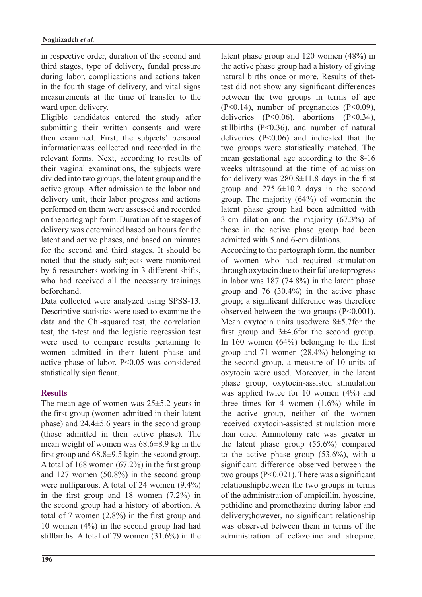in respective order, duration of the second and third stages, type of delivery, fundal pressure during labor, complications and actions taken in the fourth stage of delivery, and vital signs measurements at the time of transfer to the ward upon delivery.

Eligible candidates entered the study after submitting their written consents and were then examined. First, the subjects' personal informationwas collected and recorded in the relevant forms. Next, according to results of their vaginal examinations, the subjects were divided into two groups, the latent group and the active group. After admission to the labor and delivery unit, their labor progress and actions performed on them were assessed and recorded on the partograph form. Duration of the stages of delivery was determined based on hours for the latent and active phases, and based on minutes for the second and third stages. It should be noted that the study subjects were monitored by 6 researchers working in  $3$  different shifts, who had received all the necessary trainings .beforehand

Data collected were analyzed using SPSS-13. Descriptive statistics were used to examine the data and the Chi-squared test, the correlation test, the t-test and the logistic regression test were used to compare results pertaining to women admitted in their latent phase and active phase of labor.  $P \le 0.05$  was considered statistically significant.

# **Results**

The mean age of women was  $25±5.2$  years in the first group (women admitted in their latent phase) and  $24.4\pm 5.6$  years in the second group (those admitted in their active phase). The mean weight of women was  $68.6±8.9$  kg in the first group and  $68.8\pm 9.5$  kgin the second group. A total of 168 women  $(67.2\%)$  in the first group and 127 women  $(50.8\%)$  in the second group were nulliparous. A total of 24 women  $(9.4\%)$ in the first group and 18 women  $(7.2\%)$  in the second group had a history of abortion. A total of 7 women  $(2.8\%)$  in the first group and 10 women  $(4\%)$  in the second group had had stillbirths. A total of 79 women  $(31.6\%)$  in the latent phase group and  $120$  women  $(48%)$  in the active phase group had a history of giving test did not show any significant differences natural births once or more. Results of thetbetween the two groups in terms of age  $(P<0.14)$ , number of pregnancies  $(P<0.09)$ , deliveries  $(P<0.06)$ , abortions  $(P<0.34)$ , stillbirths  $(P< 0.36)$ , and number of natural deliveries  $(P<0.06)$  and indicated that the two groups were statistically matched. The mean gestational age according to the 8-16 weeks ultrasound at the time of admission for delivery was  $280.8\pm11.8$  days in the first group and  $275.6\pm10.2$  days in the second group. The majority  $(64\%)$  of womenin the latent phase group had been admitted with 3-cm dilation and the majority  $(67.3\%)$  of those in the active phase group had been admitted with 5 and 6-cm dilations.

According to the partograph form, the number of women who had required stimulation through oxytocin due to their failure toprogress in labor was  $187(74.8%)$  in the latent phase group and  $76$   $(30.4\%)$  in the active phase group; a significant difference was therefore observed between the two groups  $(P<0.001)$ . Mean oxytocin units usedwere  $8±5.7$  for the first group and  $3\pm4.6$  for the second group. In 160 women  $(64%)$  belonging to the first group and 71 women  $(28.4\%)$  belonging to the second group, a measure of  $10$  units of oxytocin were used. Moreover, in the latent phase group, oxytocin-assisted stimulation was applied twice for 10 women  $(4%)$  and three times for 4 women  $(1.6\%)$  while in the active group, neither of the women received oxytocin-assisted stimulation more than once. Amniotomy rate was greater in the latent phase group  $(55.6\%)$  compared to the active phase group  $(53.6\%)$ , with a significant difference observed between the two groups  $(P< 0.021)$ . There was a significant relationshipbetween the two groups in terms of the administration of ampicillin, hyoscine, pethidine and promethazine during labor and delivery; however, no significant relationship was observed between them in terms of the administration of cefazoline and atropine.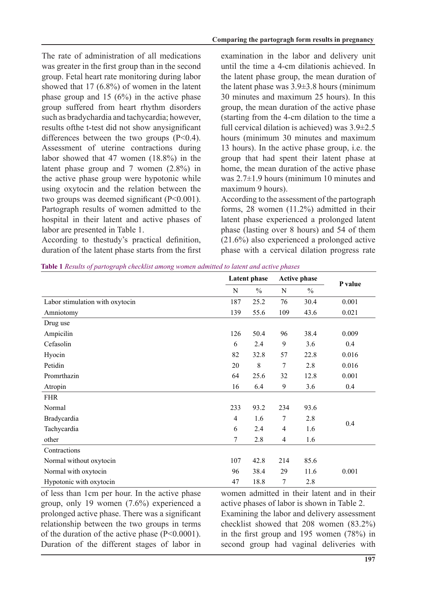The rate of administration of all medications was greater in the first group than in the second group. Fetal heart rate monitoring during labor showed that  $17 (6.8\%)$  of women in the latent phase group and 15  $(6\%)$  in the active phase group suffered from heart rhythm disorders such as bradychardia and tachycardia; however, results of the t-test did not show any significant differences between the two groups  $(P<0.4)$ . Assessment of uterine contractions during labor showed that 47 women  $(18.8\%)$  in the latent phase group and 7 women  $(2.8\%)$  in the active phase group were hypotonic while using oxytocin and the relation between the two groups was deemed significant  $(P<0.001)$ . Partograph results of women admitted to the hospital in their latent and active phases of labor are presented in Table 1.

According to thestudy's practical definition, duration of the latent phase starts from the first examination in the labor and delivery unit until the time a 4- cm dilationis achieved. In the latent phase group, the mean duration of the latent phase was  $3.9\pm3.8$  hours (minimum 30 minutes and maximum 25 hours). In this group, the mean duration of the active phase  $\alpha$  (starting from the 4- cm dilation to the time a full cervical dilation is achieved) was  $3.9\pm 2.5$ hours (minimum 30 minutes and maximum 13 hours). In the active phase group, i.e. the group that had spent their latent phase at home, the mean duration of the active phase was  $2.7±1.9$  hours (minimum 10 minutes and maximum 9 hours).

According to the assessment of the partograph forms,  $28$  women (11.2%) admitted in their latent phase experienced a prolonged latent phase (lasting over  $8$  hours) and  $54$  of them  $(21.6\%)$  also experienced a prolonged active phase with a cervical dilation progress rate

Table 1 Results of partograph checklist among women admitted to latent and active phases

|                                 | Latent phase   |         | <b>Active phase</b> |               |         |
|---------------------------------|----------------|---------|---------------------|---------------|---------|
|                                 | N              | $\%$    | $\mathbf N$         | $\frac{0}{0}$ | P value |
| Labor stimulation with oxytocin | 187            | 25.2    | 76                  | 30.4          | 0.001   |
| Amniotomy                       | 139            | 55.6    | 109                 | 43.6          | 0.021   |
| Drug use                        |                |         |                     |               |         |
| Ampicilin                       | 126            | 50.4    | 96                  | 38.4          | 0.009   |
| Cefasolin                       | 6              | 2.4     | 9                   | 3.6           | 0.4     |
| Hyocin                          | 82             | 32.8    | 57                  | 22.8          | 0.016   |
| Petidin                         | 20             | $\,8\,$ | 7                   | 2.8           | 0.016   |
| Promrthazin                     | 64             | 25.6    | 32                  | 12.8          | 0.001   |
| Atropin                         | 16             | 6.4     | 9                   | 3.6           | 0.4     |
| <b>FHR</b>                      |                |         |                     |               |         |
| Normal                          | 233            | 93.2    | 234                 | 93.6          | 0.4     |
| Bradycardia                     | $\overline{4}$ | 1.6     | 7                   | 2.8           |         |
| Tachycardia                     | 6              | 2.4     | $\overline{4}$      | 1.6           |         |
| other                           | 7              | 2.8     | 4                   | 1.6           |         |
| Contractions                    |                |         |                     |               |         |
| Normal without oxytocin         | 107            | 42.8    | 214                 | 85.6          |         |
| Normal with oxytocin            | 96             | 38.4    | 29                  | 11.6          | 0.001   |
| Hypotonic with oxytocin         | 47             | 18.8    | 7                   | 2.8           |         |

of less than 1 cm per hour. In the active phase group, only 19 women  $(7.6\%)$  experienced a prolonged active phase. There was a significant relationship between the two groups in terms of the duration of the active phase  $(P< 0.0001)$ . Duration of the different stages of labor in

women admitted in their latent and in their active phases of labor is shown in Table 2. Examining the labor and delivery assessment checklist showed that  $208$  women  $(83.2\%)$ in the first group and 195 women  $(78%)$  in second group had vaginal deliveries with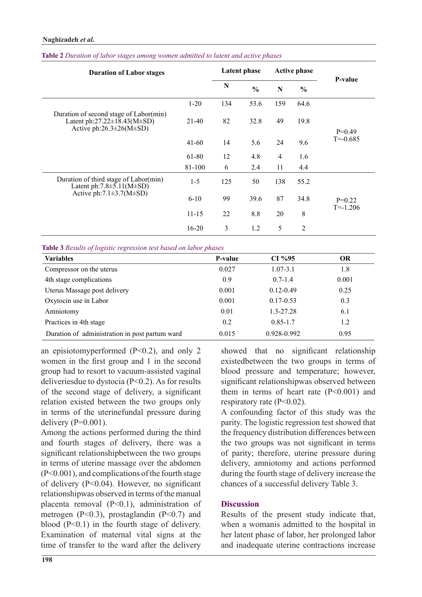| <b>Duration of Labor stages</b>                                                                                            |           | <b>Latent phase</b> |               | <b>Active phase</b> |                |                          |
|----------------------------------------------------------------------------------------------------------------------------|-----------|---------------------|---------------|---------------------|----------------|--------------------------|
|                                                                                                                            |           | N                   | $\frac{0}{0}$ | N                   | $\frac{0}{0}$  | P-value                  |
|                                                                                                                            | $1-20$    | 134                 | 53.6          | 159                 | 64.6           |                          |
| Duration of second stage of Labor(min)<br>Latent ph:27.22 $\pm$ 18.43(M $\pm$ SD)<br>Active ph: $26.3 \pm 26$ (M $\pm$ SD) | 21-40     | 82                  | 32.8          | 49                  | 19.8           | $P=0.49$<br>$T = -0.685$ |
|                                                                                                                            | $41 - 60$ | 14                  | 5.6           | 24                  | 9.6            |                          |
|                                                                                                                            | 61-80     | 12                  | 4.8           | 4                   | 1.6            |                          |
|                                                                                                                            | 81-100    | 6                   | 2.4           | 11                  | 4.4            |                          |
| Duration of third stage of Labor(min)<br>Latent ph: $7.8 \pm 5.11(M \pm SD)$                                               | $1-5$     | 125                 | 50            | 138                 | 55.2           |                          |
| Active ph: $7.1 \pm 3.7(M \pm SD)$                                                                                         | $6 - 10$  | 99                  | 39.6          | 87                  | 34.8           | $P=0.22$                 |
|                                                                                                                            | $11 - 15$ | 22                  | 8.8           | 20                  | 8              | $T = -1.206$             |
|                                                                                                                            | $16-20$   | 3                   | 1.2           | 5                   | $\overline{2}$ |                          |

#### Table 2 Duration of labor stages among women admitted to latent and active phases

**Table 3** Results of logistic regression test based on labor phases

| <b>Variables</b>                               | <b>P-value</b> | $CI\%95$      | <b>OR</b> |
|------------------------------------------------|----------------|---------------|-----------|
| Compressor on the uterus                       | 0.027          | $1.07 - 3.1$  | 1.8       |
| 4th stage complications                        | 0.9            | $0.7 - 1.4$   | 0.001     |
| Uterus Massage post delivery                   | 0.001          | $0.12 - 0.49$ | 0.25      |
| Oxytocin use in Labor                          | 0.001          | $0.17 - 0.53$ | 0.3       |
| Amniotomy                                      | 0.01           | 1.3-27.28     | 6.1       |
| Practices in 4th stage                         | 0.2            | $0.85 - 1.7$  | 1.2       |
| Duration of administration in post partum ward | 0.015          | 0.928-0.992   | 0.95      |

an episiotomyperformed  $(P< 0.2)$ , and only 2 women in the first group and  $1$  in the second group had to resort to vacuum-assisted vaginal deliveriesdue to dystocia  $(P< 0.2)$ . As for results of the second stage of delivery, a significant relation existed between the two groups only in terms of the uterinefundal pressure during delivery  $(P=0.001)$ .

Among the actions performed during the third and fourth stages of delivery, there was a significant relationshipbetween the two groups in terms of uterine massage over the abdomen  $(P< 0.001)$ , and complications of the fourth stage of delivery  $(P<0.04)$ . However, no significant relationshipwas observed in terms of the manual placenta removal  $(P< 0.1)$ , administration of metrogen (P<0.3), prostaglandin (P<0.7) and blood  $(P<0.1)$  in the fourth stage of delivery. Examination of maternal vital signs at the time of transfer to the ward after the delivery showed that no significant relationship  $\epsilon$  existedbetween the two groups in terms of blood pressure and temperature; however, significant relationshipwas observed between them in terms of heart rate  $(P<0.001)$  and respiratory rate  $(P<0.02)$ .

A confounding factor of this study was the parity. The logistic regression test showed that  $\frac{1}{2}$  the frequency distribution differences between the two groups was not significant in terms of parity; therefore, uterine pressure during delivery, amniotomy and actions performed during the fourth stage of delivery increase the chances of a successful delivery Table 3.

### **Discussion**

Results of the present study indicate that, when a womanis admitted to the hospital in her latent phase of labor, her prolonged labor and inadequate uterine contractions increase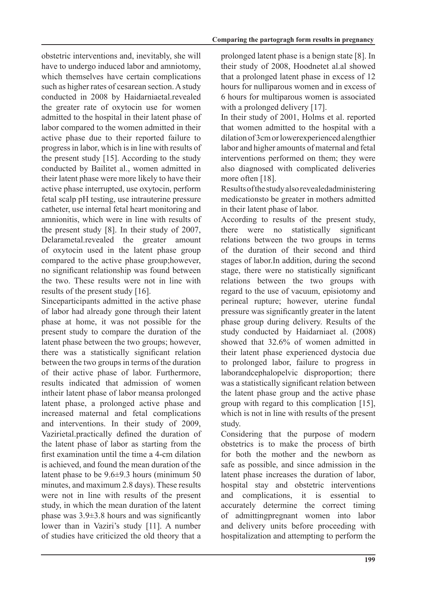obstetric interventions and, inevitably, she will have to undergo induced labor and amniotomy, which themselves have certain complications such as higher rates of cesarean section. A study conducted in 2008 by Haidarniaetal.revealed the greater rate of oxytocin use for women admitted to the hospital in their latent phase of labor compared to the women admitted in their active phase due to their reported failure to progress in labor, which is in line with results of the present study  $[15]$ . According to the study conducted by Bailitet al., women admitted in their latent phase were more likely to have their active phase interrupted, use oxytocin, perform fetal scalp pH testing, use intrauterine pressure catheter, use internal fetal heart monitoring and amnionitis, which were in line with results of the present study  $[8]$ . In their study of 2007, Delarametal.revealed the greater amount of oxytocin used in the latent phase group compared to the active phase group; however, no significant relationship was found between the two. These results were not in line with results of the present study  $[16]$ .

Sinceparticipants admitted in the active phase of labor had already gone through their latent phase at home, it was not possible for the present study to compare the duration of the latent phase between the two groups; however, there was a statistically significant relation between the two groups in terms of the duration of their active phase of labor. Furthermore, results indicated that admission of women intheir latent phase of labor meansa prolonged latent phase, a prolonged active phase and increased maternal and fetal complications and interventions. In their study of 2009, Vazirietal.practically defined the duration of the latent phase of labor as starting from the first examination until the time  $a$  4-cm dilation is achieved, and found the mean duration of the latent phase to be  $9.6±9.3$  hours (minimum 50) minutes, and maximum 2.8 days). These results were not in line with results of the present study, in which the mean duration of the latent phase was  $3.9±3.8$  hours and was significantly lower than in Vaziri's study [11]. A number of studies have criticized the old theory that a prolonged latent phase is a benign state  $[8]$ . In their study of 2008, Hoodnetet al.al showed that a prolonged latent phase in excess of 12 hours for nulliparous women and in excess of 6 hours for multiparous women is associated with a prolonged delivery  $[17]$ .

In their study of 2001, Holms et al. reported that women admitted to the hospital with a dilation of 3 cm or lower experienced alengthier labor and higher amounts of maternal and fetal interventions performed on them; they were also diagnosed with complicated deliveries more often [18].

Results of the study also revealed administering medicationsto be greater in mothers admitted in their latent phase of labor.

According to results of the present study, there were no statistically significant relations between the two groups in terms of the duration of their second and third stages of labor. In addition, during the second stage, there were no statistically significant relations between the two groups with regard to the use of vacuum, episiotomy and perineal rupture; however, uterine fundal pressure was significantly greater in the latent phase group during delivery. Results of the study conducted by Haidarniaet al. (2008). showed that  $32.6\%$  of women admitted in their latent phase experienced dystocia due to prolonged labor, failure to progress in laborandcephalopelvic disproportion; there was a statistically significant relation between the latent phase group and the active phase group with regard to this complication  $[15]$ , which is not in line with results of the present .study

Considering that the purpose of modern obstetrics is to make the process of birth for both the mother and the newborn as safe as possible, and since admission in the latent phase increases the duration of labor, hospital stay and obstetric interventions and complications, it is essential to accurately determine the correct timing of admittingpregnant women into labor and delivery units before proceeding with hospitalization and attempting to perform the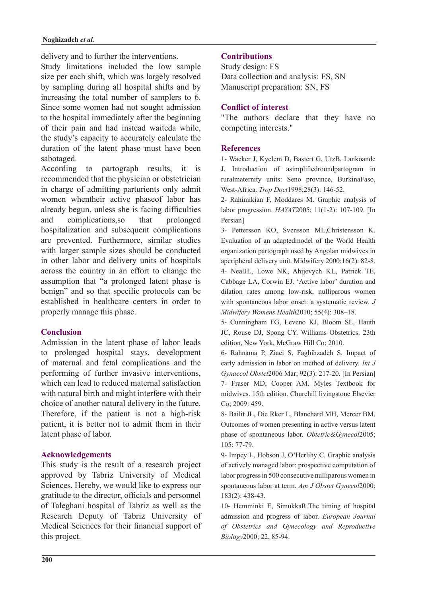#### **Naghizadeh** et al.

delivery and to further the interventions.

Study limitations included the low sample size per each shift, which was largely resolved by sampling during all hospital shifts and by increasing the total number of samplers to 6. Since some women had not sought admission to the hospital immediately after the beginning of their pain and had instead waiteda while, the study's capacity to accurately calculate the duration of the latent phase must have been sabotaged.

According to partograph results, it is recommended that the physician or obstetrician in charge of admitting parturients only admit women whentheir active phaseof labor has already begun, unless she is facing difficulties and complications, so that prolonged hospitalization and subsequent complications are prevented. Furthermore, similar studies with larger sample sizes should be conducted in other labor and delivery units of hospitals across the country in an effort to change the assumption that "a prolonged latent phase is benign" and so that specific protocols can be established in healthcare centers in order to properly manage this phase.

# **Conclusion**

Admission in the latent phase of labor leads to prolonged hospital stays, development of maternal and fetal complications and the performing of further invasive interventions. which can lead to reduced maternal satisfaction with natural birth and might interfere with their choice of another natural delivery in the future. Therefore, if the patient is not a high-risk patient, it is better not to admit them in their latent phase of labor.

# **Acknowledgements**

This study is the result of a research project approved by Tabriz University of Medical Sciences. Hereby, we would like to express our gratitude to the director, officials and personnel of Taleghani hospital of Tabriz as well as the Research Deputy of Tabriz University of Medical Sciences for their financial support of this project.

# **Contributions**

Study design: FS Data collection and analysis: FS, SN Manuscript preparation: SN, FS

### **Conflict of interest**

"The authors declare that they have no competing interests."

### **References**

1- Wacker J, Kyelem D, Bastert G, UtzB, Lankoande J. Introduction of asimplifiedroundpartogram in ruralmaternity units: Seno province, BurkinaFaso, West-Africa. Trop Doct1998;28(3): 146-52.

2- Rahimikian F, Moddares M. Graphic analysis of labor progression.  $HAYAT2005$ ; 11(1-2): 107-109. [In Persian]

3- Pettersson, KO, Svensson, ML, Christensson, K. Evaluation of an adaptedmodel of the World Health organization partograph used by Angolan midwives in aperipheral delivery unit. Midwifery  $2000:16(2)$ : 82-8. 4- NealJL, Lowe NK, Ahijevych KL, Patrick TE, Cabbage LA, Corwin EJ. 'Active labor' duration and dilation rates among low-risk, nulliparous women with spontaneous labor onset: a systematic review. J Midwifery Womens Health 2010; 55(4): 308-18.

5- Cunningham FG, Leveno KJ, Bloom SL, Hauth JC, Rouse DJ, Spong CY. Williams Obstetrics. 23th edition, New York, McGraw Hill Co; 2010.

6- Rahnama P, Ziaei S, Faghihzadeh S. Impact of early admission in labor on method of delivery. *Int J* Gynaecol Obstet 2006 Mar; 92(3): 217-20. [In Persian] 7- Fraser MD, Cooper AM. Myles Textbook for midwives. 15th edition. Churchill livingstone Elsevier Co: 2009: 459.

8- Bailit JL, Die Rker L, Blanchard MH, Mercer BM. Outcomes of women presenting in active versus latent phase of spontaneous labor. Obtetric&Gynecol2005; 105: 77-79.

9- Impey L, Hobson J, O'Herlihy C. Graphic analysis of actively managed labor: prospective computation of labor progress in 500 consecutive nulliparous women in spontaneous labor at term. Am J Obstet Gynecol2000;  $183(2):$  438-43.

10- Hemminki E, SimukkaR The timing of hospital admission and progress of labor. *European Journal* of Obstetrics and Gynecology and Reproductive Biology2000; 22, 85-94.